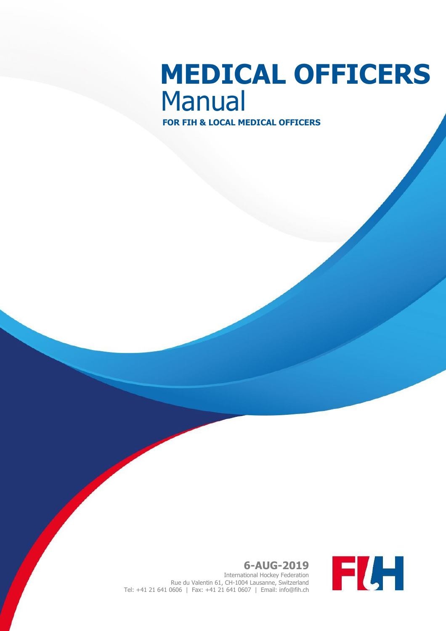# **MEDICAL OFFICERS** Manual

**FOR FIH & LOCAL MEDICAL OFFICERS**



**6-AUG-2019** International Hockey Federation Rue du Valentin 61, CH-1004 Lausanne, Switzerland Tel: +41 21 641 0606 | Fax: +41 21 641 0607 | Email: info@fih.ch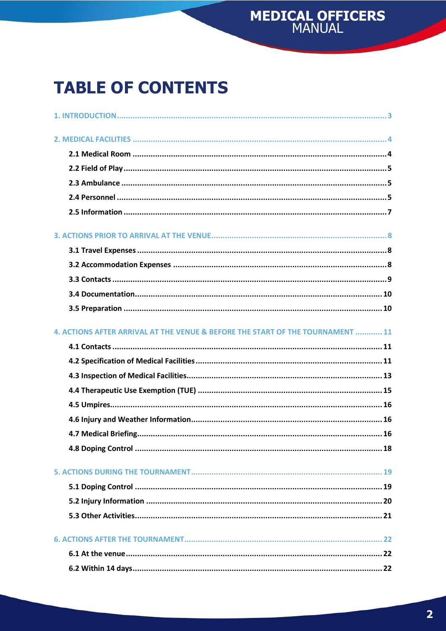# MEDICAL OFFICERS

# **TABLE OF CONTENTS**

| 4. ACTIONS AFTER ARRIVAL AT THE VENUE & BEFORE THE START OF THE TOURNAMENT  11 |
|--------------------------------------------------------------------------------|
|                                                                                |
|                                                                                |
|                                                                                |
|                                                                                |
|                                                                                |
|                                                                                |
|                                                                                |
|                                                                                |
|                                                                                |
|                                                                                |
|                                                                                |
|                                                                                |
|                                                                                |
|                                                                                |
|                                                                                |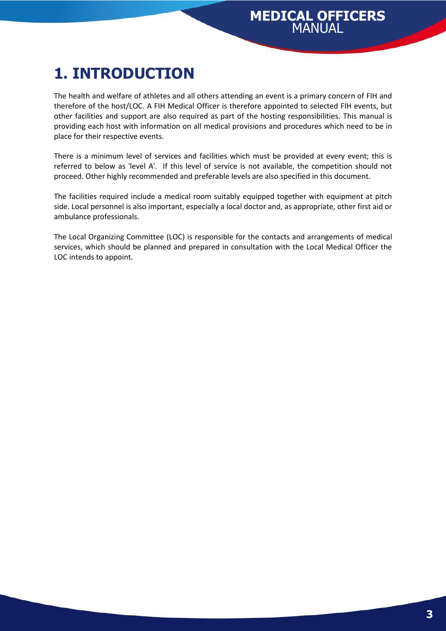## <span id="page-2-0"></span>**1. INTRODUCTION**

The health and welfare of athletes and all others attending an event is a primary concern of FIH and therefore of the host/LOC. A FIH Medical Officer is therefore appointed to selected FIH events, but other facilities and support are also required as part of the hosting responsibilities. This manual is providing each host with information on all medical provisions and procedures which need to be in place for their respective events.

There is a minimum level of services and facilities which must be provided at every event; this is referred to below as 'level A'. If this level of service is not available, the competition should not proceed. Other highly recommended and preferable levels are also specified in this document.

The facilities required include a medical room suitably equipped together with equipment at pitch side. Local personnel is also important, especially a local doctor and, as appropriate, other first aid or ambulance professionals.

The Local Organizing Committee (LOC) is responsible for the contacts and arrangements of medical services, which should be planned and prepared in consultation with the Local Medical Officer the LOC intends to appoint.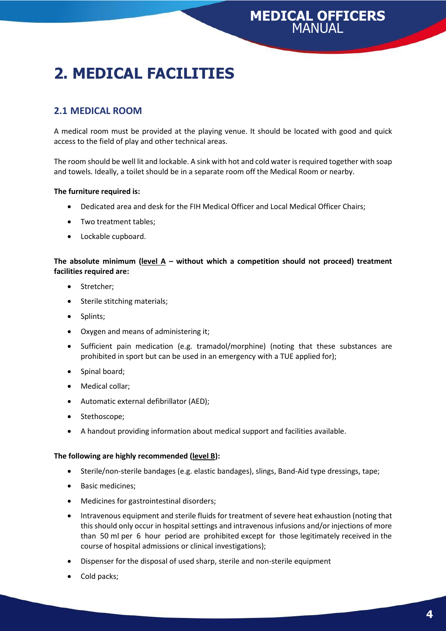# <span id="page-3-0"></span>**2. MEDICAL FACILITIES**

#### <span id="page-3-1"></span>**2.1 MEDICAL ROOM**

A medical room must be provided at the playing venue. It should be located with good and quick access to the field of play and other technical areas.

The room should be well lit and lockable. A sink with hot and cold water is required together with soap and towels. Ideally, a toilet should be in a separate room off the Medical Room or nearby.

#### **The furniture required is:**

- Dedicated area and desk for the FIH Medical Officer and Local Medical Officer Chairs;
- Two treatment tables;
- Lockable cupboard.

**The absolute minimum (level A – without which a competition should not proceed) treatment facilities required are:**

- Stretcher;
- Sterile stitching materials;
- Splints;
- Oxygen and means of administering it;
- Sufficient pain medication (e.g. tramadol/morphine) (noting that these substances are prohibited in sport but can be used in an emergency with a TUE applied for);
- Spinal board;
- Medical collar;
- Automatic external defibrillator (AED);
- Stethoscope;
- A handout providing information about medical support and facilities available.

#### **The following are highly recommended (level B):**

- Sterile/non-sterile bandages (e.g. elastic bandages), slings, Band-Aid type dressings, tape;
- Basic medicines;
- Medicines for gastrointestinal disorders;
- Intravenous equipment and sterile fluids for treatment of severe heat exhaustion (noting that this should only occur in hospital settings and intravenous infusions and/or injections of more than 50 ml per 6 hour period are prohibited except for those legitimately received in the course of hospital admissions or clinical investigations);
- Dispenser for the disposal of used sharp, sterile and non-sterile equipment
- Cold packs;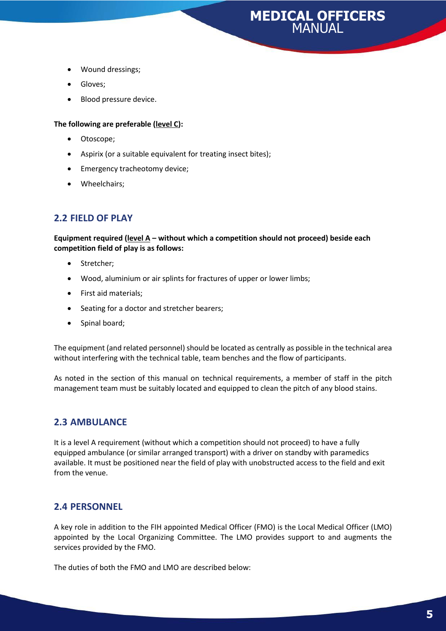- Wound dressings;
- Gloves;
- Blood pressure device.

#### **The following are preferable (level C):**

- Otoscope;
- Aspirix (or a suitable equivalent for treating insect bites);
- Emergency tracheotomy device;
- Wheelchairs;

#### <span id="page-4-0"></span>**2.2 FIELD OF PLAY**

**Equipment required (level A – without which a competition should not proceed) beside each competition field of play is as follows:**

- Stretcher;
- Wood, aluminium or air splints for fractures of upper or lower limbs;
- First aid materials;
- Seating for a doctor and stretcher bearers;
- Spinal board;

The equipment (and related personnel) should be located as centrally as possible in the technical area without interfering with the technical table, team benches and the flow of participants.

<span id="page-4-1"></span>As noted in the section of this manual on technical requirements, a member of staff in the pitch management team must be suitably located and equipped to clean the pitch of any blood stains.

#### **2.3 AMBULANCE**

It is a level A requirement (without which a competition should not proceed) to have a fully equipped ambulance (or similar arranged transport) with a driver on standby with paramedics available. It must be positioned near the field of play with unobstructed access to the field and exit from the venue.

#### <span id="page-4-2"></span>**2.4 PERSONNEL**

A key role in addition to the FIH appointed Medical Officer (FMO) is the Local Medical Officer (LMO) appointed by the Local Organizing Committee. The LMO provides support to and augments the services provided by the FMO.

The duties of both the FMO and LMO are described below: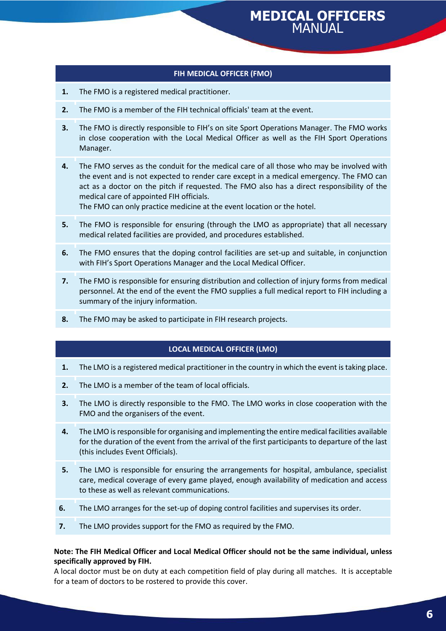#### **FIH MEDICAL OFFICER (FMO)**

- **1.** The FMO is a registered medical practitioner.
- **2.** The FMO is a member of the FIH technical officials' team at the event.
- **3.** The FMO is directly responsible to FIH's on site Sport Operations Manager. The FMO works in close cooperation with the Local Medical Officer as well as the FIH Sport Operations Manager.
- **4.** The FMO serves as the conduit for the medical care of all those who may be involved with the event and is not expected to render care except in a medical emergency. The FMO can act as a doctor on the pitch if requested. The FMO also has a direct responsibility of the medical care of appointed FIH officials.

The FMO can only practice medicine at the event location or the hotel.

- **5.** The FMO is responsible for ensuring (through the LMO as appropriate) that all necessary medical related facilities are provided, and procedures established.
- **6.** The FMO ensures that the doping control facilities are set-up and suitable, in conjunction with FIH's Sport Operations Manager and the Local Medical Officer.
- **7.** The FMO is responsible for ensuring distribution and collection of injury forms from medical personnel. At the end of the event the FMO supplies a full medical report to FIH including a summary of the injury information.
- **8.** The FMO may be asked to participate in FIH research projects.

#### **LOCAL MEDICAL OFFICER (LMO)**

- **1.** The LMO is a registered medical practitioner in the country in which the event is taking place.
- **2.** The LMO is a member of the team of local officials.
- **3.** The LMO is directly responsible to the FMO. The LMO works in close cooperation with the FMO and the organisers of the event.
- **4.** The LMO is responsible for organising and implementing the entire medical facilities available for the duration of the event from the arrival of the first participants to departure of the last (this includes Event Officials).
- **5.** The LMO is responsible for ensuring the arrangements for hospital, ambulance, specialist care, medical coverage of every game played, enough availability of medication and access to these as well as relevant communications.
- **6.** The LMO arranges for the set-up of doping control facilities and supervises its order.
- **7.** The LMO provides support for the FMO as required by the FMO.

#### **Note: The FIH Medical Officer and Local Medical Officer should not be the same individual, unless specifically approved by FIH.**

A local doctor must be on duty at each competition field of play during all matches. It is acceptable for a team of doctors to be rostered to provide this cover.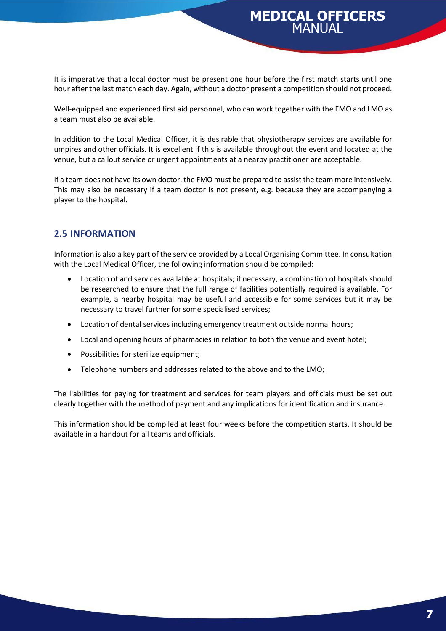It is imperative that a local doctor must be present one hour before the first match starts until one hour after the last match each day. Again, without a doctor present a competition should not proceed.

Well-equipped and experienced first aid personnel, who can work together with the FMO and LMO as a team must also be available.

In addition to the Local Medical Officer, it is desirable that physiotherapy services are available for umpires and other officials. It is excellent if this is available throughout the event and located at the venue, but a callout service or urgent appointments at a nearby practitioner are acceptable.

If a team does not have its own doctor, the FMO must be prepared to assist the team more intensively. This may also be necessary if a team doctor is not present, e.g. because they are accompanying a player to the hospital.

#### <span id="page-6-0"></span>**2.5 INFORMATION**

Information is also a key part of the service provided by a Local Organising Committee. In consultation with the Local Medical Officer, the following information should be compiled:

- Location of and services available at hospitals; if necessary, a combination of hospitals should be researched to ensure that the full range of facilities potentially required is available. For example, a nearby hospital may be useful and accessible for some services but it may be necessary to travel further for some specialised services;
- Location of dental services including emergency treatment outside normal hours;
- Local and opening hours of pharmacies in relation to both the venue and event hotel;
- Possibilities for sterilize equipment;
- Telephone numbers and addresses related to the above and to the LMO;

The liabilities for paying for treatment and services for team players and officials must be set out clearly together with the method of payment and any implications for identification and insurance.

This information should be compiled at least four weeks before the competition starts. It should be available in a handout for all teams and officials.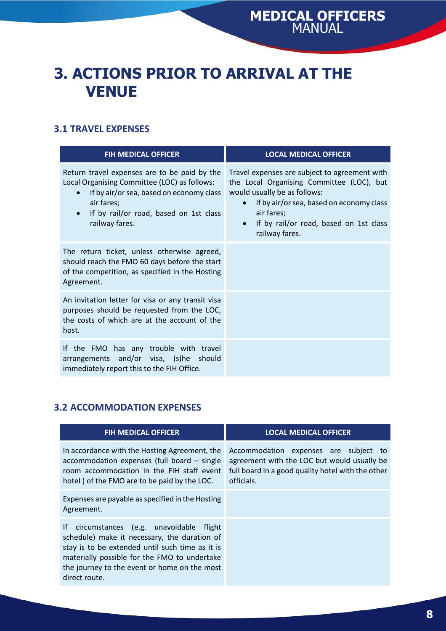### <span id="page-7-0"></span>**3. ACTIONS PRIOR TO ARRIVAL AT THE VENUE**

#### <span id="page-7-1"></span>**3.1 TRAVEL EXPENSES**

| <b>FIH MEDICAL OFFICER</b>                                                                                                                                                                                                                   | <b>LOCAL MEDICAL OFFICER</b>                                                                                                                                                                                                                                               |
|----------------------------------------------------------------------------------------------------------------------------------------------------------------------------------------------------------------------------------------------|----------------------------------------------------------------------------------------------------------------------------------------------------------------------------------------------------------------------------------------------------------------------------|
| Return travel expenses are to be paid by the<br>Local Organising Committee (LOC) as follows:<br>If by air/or sea, based on economy class<br>$\bullet$<br>air fares;<br>If by rail/or road, based on 1st class<br>$\bullet$<br>railway fares. | Travel expenses are subject to agreement with<br>the Local Organising Committee (LOC), but<br>would usually be as follows:<br>If by air/or sea, based on economy class<br>$\bullet$<br>air fares;<br>If by rail/or road, based on 1st class<br>$\bullet$<br>railway fares. |
| The return ticket, unless otherwise agreed,<br>should reach the FMO 60 days before the start<br>of the competition, as specified in the Hosting<br>Agreement.                                                                                |                                                                                                                                                                                                                                                                            |
| An invitation letter for visa or any transit visa<br>purposes should be requested from the LOC,<br>the costs of which are at the account of the<br>host.                                                                                     |                                                                                                                                                                                                                                                                            |
| If the FMO has any trouble with travel<br>arrangements and/or visa, (s)he should<br>immediately report this to the FIH Office.                                                                                                               |                                                                                                                                                                                                                                                                            |

### <span id="page-7-2"></span>**3.2 ACCOMMODATION EXPENSES**

| <b>FIH MEDICAL OFFICER</b>                                                                                                                                                                                                                                    | <b>LOCAL MEDICAL OFFICER</b>                                                                                                                            |
|---------------------------------------------------------------------------------------------------------------------------------------------------------------------------------------------------------------------------------------------------------------|---------------------------------------------------------------------------------------------------------------------------------------------------------|
| In accordance with the Hosting Agreement, the<br>accommodation expenses (full board - single<br>room accommodation in the FIH staff event<br>hotel) of the FMO are to be paid by the LOC.                                                                     | Accommodation expenses are subject to<br>agreement with the LOC but would usually be<br>full board in a good quality hotel with the other<br>officials. |
| Expenses are payable as specified in the Hosting<br>Agreement.                                                                                                                                                                                                |                                                                                                                                                         |
| If circumstances (e.g. unavoidable flight<br>schedule) make it necessary, the duration of<br>stay is to be extended until such time as it is<br>materially possible for the FMO to undertake<br>the journey to the event or home on the most<br>direct route. |                                                                                                                                                         |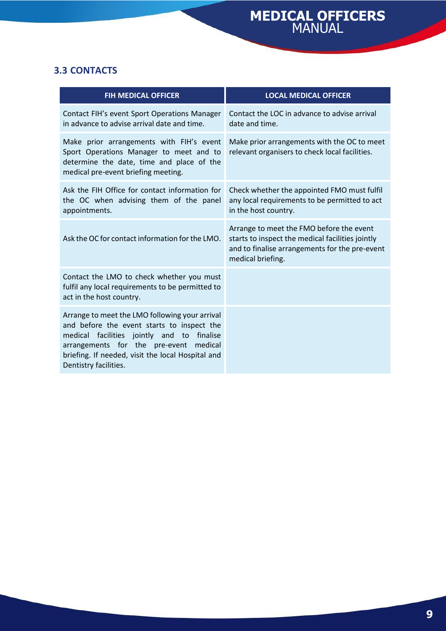### <span id="page-8-0"></span>**3.3 CONTACTS**

| <b>FIH MEDICAL OFFICER</b>                                                                                                                                                                                                                                         | <b>LOCAL MEDICAL OFFICER</b>                                                                                                                                        |
|--------------------------------------------------------------------------------------------------------------------------------------------------------------------------------------------------------------------------------------------------------------------|---------------------------------------------------------------------------------------------------------------------------------------------------------------------|
| Contact FIH's event Sport Operations Manager<br>in advance to advise arrival date and time.                                                                                                                                                                        | Contact the LOC in advance to advise arrival<br>date and time.                                                                                                      |
| Make prior arrangements with FIH's event<br>Sport Operations Manager to meet and to<br>determine the date, time and place of the<br>medical pre-event briefing meeting.                                                                                            | Make prior arrangements with the OC to meet<br>relevant organisers to check local facilities.                                                                       |
| Ask the FIH Office for contact information for<br>the OC when advising them of the panel<br>appointments.                                                                                                                                                          | Check whether the appointed FMO must fulfil<br>any local requirements to be permitted to act<br>in the host country.                                                |
| Ask the OC for contact information for the LMO.                                                                                                                                                                                                                    | Arrange to meet the FMO before the event<br>starts to inspect the medical facilities jointly<br>and to finalise arrangements for the pre-event<br>medical briefing. |
| Contact the LMO to check whether you must<br>fulfil any local requirements to be permitted to<br>act in the host country.                                                                                                                                          |                                                                                                                                                                     |
| Arrange to meet the LMO following your arrival<br>and before the event starts to inspect the<br>medical facilities jointly and to finalise<br>arrangements for the pre-event medical<br>briefing. If needed, visit the local Hospital and<br>Dentistry facilities. |                                                                                                                                                                     |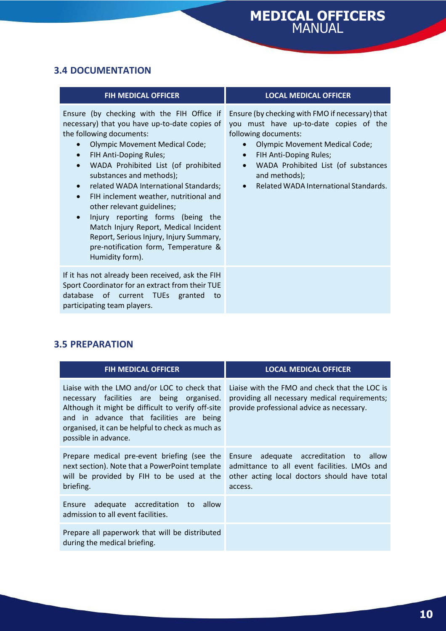#### <span id="page-9-0"></span>**3.4 DOCUMENTATION**

| <b>FIH MEDICAL OFFICER</b>                                                                                                                                                                                                                                                                                                                                                                                                                                                                                                                                                                                                          | <b>LOCAL MEDICAL OFFICER</b>                                                                                                                                                                                                                                                                                                              |
|-------------------------------------------------------------------------------------------------------------------------------------------------------------------------------------------------------------------------------------------------------------------------------------------------------------------------------------------------------------------------------------------------------------------------------------------------------------------------------------------------------------------------------------------------------------------------------------------------------------------------------------|-------------------------------------------------------------------------------------------------------------------------------------------------------------------------------------------------------------------------------------------------------------------------------------------------------------------------------------------|
| Ensure (by checking with the FIH Office if<br>necessary) that you have up-to-date copies of<br>the following documents:<br><b>Olympic Movement Medical Code;</b><br>FIH Anti-Doping Rules;<br>$\bullet$<br>WADA Prohibited List (of prohibited<br>$\bullet$<br>substances and methods);<br>related WADA International Standards;<br>$\bullet$<br>FIH inclement weather, nutritional and<br>$\bullet$<br>other relevant guidelines;<br>Injury reporting forms (being the<br>$\bullet$<br>Match Injury Report, Medical Incident<br>Report, Serious Injury, Injury Summary,<br>pre-notification form, Temperature &<br>Humidity form). | Ensure (by checking with FMO if necessary) that<br>you must have up-to-date copies of the<br>following documents:<br><b>Olympic Movement Medical Code;</b><br>$\bullet$<br>FIH Anti-Doping Rules;<br>$\bullet$<br>WADA Prohibited List (of substances<br>$\bullet$<br>and methods);<br>Related WADA International Standards.<br>$\bullet$ |
| If it has not already been received, ask the FIH<br>Sport Coordinator for an extract from their TUE<br>database of current TUEs granted<br>to<br>participating team players.                                                                                                                                                                                                                                                                                                                                                                                                                                                        |                                                                                                                                                                                                                                                                                                                                           |

### <span id="page-9-1"></span>**3.5 PREPARATION**

| <b>FIH MEDICAL OFFICER</b>                                                                                                                                                                                                                                             | <b>LOCAL MEDICAL OFFICER</b>                                                                                                                      |
|------------------------------------------------------------------------------------------------------------------------------------------------------------------------------------------------------------------------------------------------------------------------|---------------------------------------------------------------------------------------------------------------------------------------------------|
| Liaise with the LMO and/or LOC to check that<br>necessary facilities are being organised.<br>Although it might be difficult to verify off-site<br>and in advance that facilities are being<br>organised, it can be helpful to check as much as<br>possible in advance. | Liaise with the FMO and check that the LOC is<br>providing all necessary medical requirements;<br>provide professional advice as necessary.       |
| Prepare medical pre-event briefing (see the<br>next section). Note that a PowerPoint template<br>will be provided by FIH to be used at the<br>briefing.                                                                                                                | Ensure adequate accreditation to allow<br>admittance to all event facilities. LMOs and<br>other acting local doctors should have total<br>access. |
| adequate accreditation to<br>allow<br>Ensure<br>admission to all event facilities.                                                                                                                                                                                     |                                                                                                                                                   |
| Prepare all paperwork that will be distributed<br>during the medical briefing.                                                                                                                                                                                         |                                                                                                                                                   |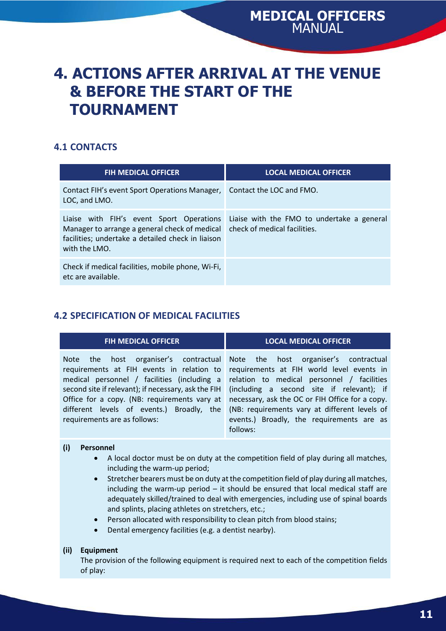### <span id="page-10-0"></span>**4. ACTIONS AFTER ARRIVAL AT THE VENUE & BEFORE THE START OF THE TOURNAMENT**

#### <span id="page-10-1"></span>**4.1 CONTACTS**

| <b>FIH MEDICAL OFFICER</b>                                                                                                                                      | <b>LOCAL MEDICAL OFFICER</b>                                               |
|-----------------------------------------------------------------------------------------------------------------------------------------------------------------|----------------------------------------------------------------------------|
| Contact FIH's event Sport Operations Manager,<br>LOC, and LMO.                                                                                                  | Contact the LOC and FMO.                                                   |
| Liaise with FIH's event Sport Operations<br>Manager to arrange a general check of medical<br>facilities; undertake a detailed check in liaison<br>with the LMO. | Liaise with the FMO to undertake a general<br>check of medical facilities. |
| Check if medical facilities, mobile phone, Wi-Fi,<br>etc are available.                                                                                         |                                                                            |

#### <span id="page-10-2"></span>**4.2 SPECIFICATION OF MEDICAL FACILITIES**

| <b>FIH MEDICAL OFFICER</b>                                                                                                                                                                                                                                                               | <b>LOCAL MEDICAL OFFICER</b>                                                                                                                                                                                                                                                                                                                                            |
|------------------------------------------------------------------------------------------------------------------------------------------------------------------------------------------------------------------------------------------------------------------------------------------|-------------------------------------------------------------------------------------------------------------------------------------------------------------------------------------------------------------------------------------------------------------------------------------------------------------------------------------------------------------------------|
| Note the<br>requirements at FIH events in relation to<br>medical personnel / facilities (including a<br>second site if relevant); if necessary, ask the FIH<br>Office for a copy. (NB: requirements vary at<br>different levels of events.) Broadly, the<br>requirements are as follows: | host organiser's contractual Note the host organiser's contractual<br>requirements at FIH world level events in<br>relation to medical personnel / facilities<br>(including a second site if relevant); if<br>necessary, ask the OC or FIH Office for a copy.<br>(NB: requirements vary at different levels of<br>events.) Broadly, the requirements are as<br>follows: |

#### **(i) Personnel**

- A local doctor must be on duty at the competition field of play during all matches, including the warm-up period;
- Stretcher bearers must be on duty at the competition field of play during all matches, including the warm-up period – it should be ensured that local medical staff are adequately skilled/trained to deal with emergencies, including use of spinal boards and splints, placing athletes on stretchers, etc.;
- Person allocated with responsibility to clean pitch from blood stains;
- Dental emergency facilities (e.g. a dentist nearby).

#### **(ii) Equipment**

The provision of the following equipment is required next to each of the competition fields of play: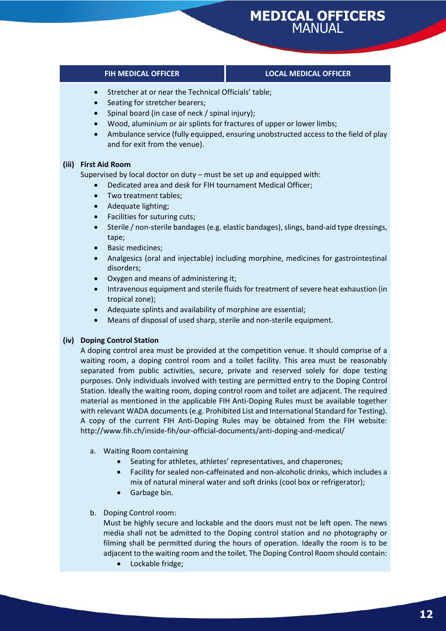#### **FIH MEDICAL OFFICER LOCAL MEDICAL OFFICER**

- Stretcher at or near the Technical Officials' table;
- Seating for stretcher bearers;
- Spinal board (in case of neck / spinal injury);
- Wood, aluminium or air splints for fractures of upper or lower limbs;
- Ambulance service (fully equipped, ensuring unobstructed access to the field of play and for exit from the venue).

#### **(iii) First Aid Room**

Supervised by local doctor on duty – must be set up and equipped with:

- Dedicated area and desk for FIH tournament Medical Officer;
- Two treatment tables;
- Adequate lighting;
- Facilities for suturing cuts;
- Sterile / non-sterile bandages (e.g. elastic bandages), slings, band-aid type dressings, tape;
- Basic medicines;
- Analgesics (oral and injectable) including morphine, medicines for gastrointestinal disorders;
- Oxygen and means of administering it;
- Intravenous equipment and sterile fluids for treatment of severe heat exhaustion (in tropical zone);
- Adequate splints and availability of morphine are essential;
- Means of disposal of used sharp, sterile and non-sterile equipment.

#### **(iv) Doping Control Station**

A doping control area must be provided at the competition venue. It should comprise of a waiting room, a doping control room and a toilet facility. This area must be reasonably separated from public activities, secure, private and reserved solely for dope testing purposes. Only individuals involved with testing are permitted entry to the Doping Control Station. Ideally the waiting room, doping control room and toilet are adjacent. The required material as mentioned in the applicable FIH Anti-Doping Rules must be available together with relevant WADA documents (e.g. Prohibited List and International Standard for Testing). A copy of the current FIH Anti-Doping Rules may be obtained from the FIH website: http://www.fih.ch/inside-fih/our-official-documents/anti-doping-and-medical/

- a. Waiting Room containing
	- Seating for athletes, athletes' representatives, and chaperones;
	- Facility for sealed non-caffeinated and non-alcoholic drinks, which includes a mix of natural mineral water and soft drinks (cool box or refrigerator);
	- Garbage bin.

#### b. Doping Control room:

Must be highly secure and lockable and the doors must not be left open. The news media shall not be admitted to the Doping control station and no photography or filming shall be permitted during the hours of operation. Ideally the room is to be adjacent to the waiting room and the toilet. The Doping Control Room should contain:

• Lockable fridge;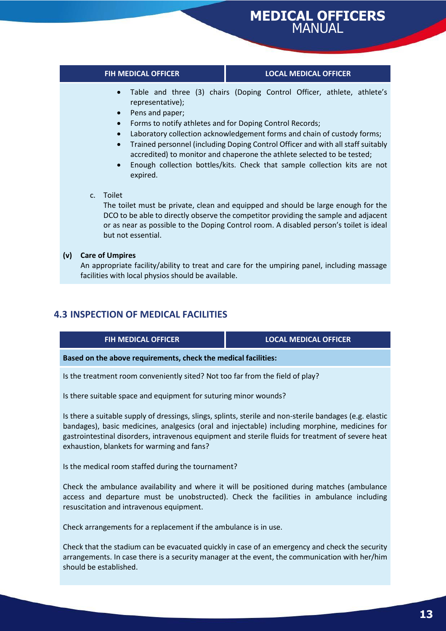#### **FIH MEDICAL OFFICER LOCAL MEDICAL OFFICER**

- Table and three (3) chairs (Doping Control Officer, athlete, athlete's representative);
- Pens and paper;
- Forms to notify athletes and for Doping Control Records;
- Laboratory collection acknowledgement forms and chain of custody forms;
- Trained personnel (including Doping Control Officer and with all staff suitably accredited) to monitor and chaperone the athlete selected to be tested;
- Enough collection bottles/kits. Check that sample collection kits are not expired.
- c. Toilet

The toilet must be private, clean and equipped and should be large enough for the DCO to be able to directly observe the competitor providing the sample and adjacent or as near as possible to the Doping Control room. A disabled person's toilet is ideal but not essential.

#### **(v) Care of Umpires**

An appropriate facility/ability to treat and care for the umpiring panel, including massage facilities with local physios should be available.

#### <span id="page-12-0"></span>**4.3 INSPECTION OF MEDICAL FACILITIES**

**FIH MEDICAL OFFICER LOCAL MEDICAL OFFICER**

**Based on the above requirements, check the medical facilities:**

Is the treatment room conveniently sited? Not too far from the field of play?

Is there suitable space and equipment for suturing minor wounds?

Is there a suitable supply of dressings, slings, splints, sterile and non-sterile bandages (e.g. elastic bandages), basic medicines, analgesics (oral and injectable) including morphine, medicines for gastrointestinal disorders, intravenous equipment and sterile fluids for treatment of severe heat exhaustion, blankets for warming and fans?

Is the medical room staffed during the tournament?

Check the ambulance availability and where it will be positioned during matches (ambulance access and departure must be unobstructed). Check the facilities in ambulance including resuscitation and intravenous equipment.

Check arrangements for a replacement if the ambulance is in use.

Check that the stadium can be evacuated quickly in case of an emergency and check the security arrangements. In case there is a security manager at the event, the communication with her/him should be established.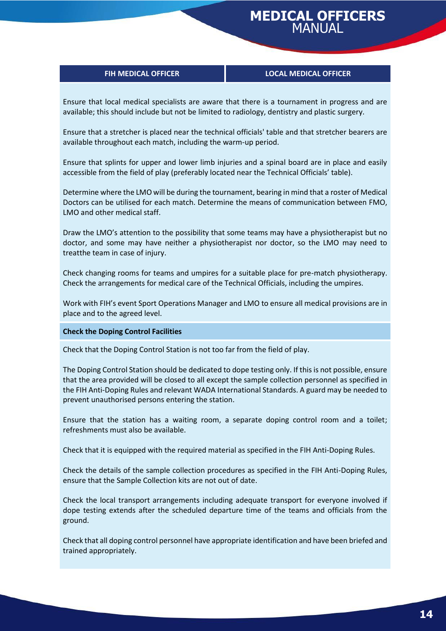#### **FIH MEDICAL OFFICER LOCAL MEDICAL OFFICER**

Ensure that local medical specialists are aware that there is a tournament in progress and are available; this should include but not be limited to radiology, dentistry and plastic surgery.

Ensure that a stretcher is placed near the technical officials' table and that stretcher bearers are available throughout each match, including the warm-up period.

Ensure that splints for upper and lower limb injuries and a spinal board are in place and easily accessible from the field of play (preferably located near the Technical Officials' table).

Determine where the LMO will be during the tournament, bearing in mind that a roster of Medical Doctors can be utilised for each match. Determine the means of communication between FMO, LMO and other medical staff.

Draw the LMO's attention to the possibility that some teams may have a physiotherapist but no doctor, and some may have neither a physiotherapist nor doctor, so the LMO may need to treatthe team in case of injury.

Check changing rooms for teams and umpires for a suitable place for pre-match physiotherapy. Check the arrangements for medical care of the Technical Officials, including the umpires.

Work with FIH's event Sport Operations Manager and LMO to ensure all medical provisions are in place and to the agreed level.

#### **Check the Doping Control Facilities**

Check that the Doping Control Station is not too far from the field of play.

The Doping Control Station should be dedicated to dope testing only. If this is not possible, ensure that the area provided will be closed to all except the sample collection personnel as specified in the FIH Anti-Doping Rules and relevant WADA International Standards. A guard may be needed to prevent unauthorised persons entering the station.

Ensure that the station has a waiting room, a separate doping control room and a toilet; refreshments must also be available.

Check that it is equipped with the required material as specified in the FIH Anti-Doping Rules.

Check the details of the sample collection procedures as specified in the FIH Anti-Doping Rules, ensure that the Sample Collection kits are not out of date.

Check the local transport arrangements including adequate transport for everyone involved if dope testing extends after the scheduled departure time of the teams and officials from the ground.

Check that all doping control personnel have appropriate identification and have been briefed and trained appropriately.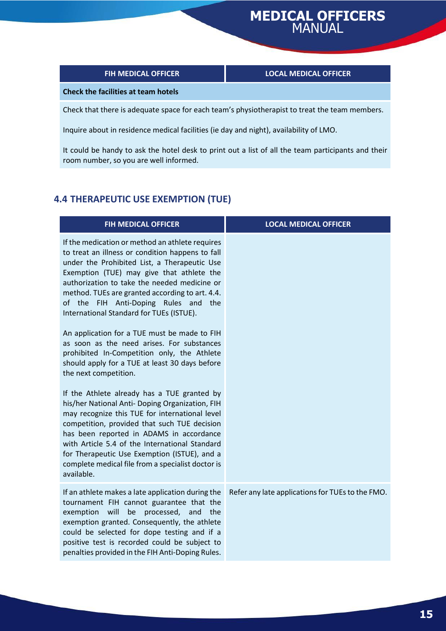#### **FIH MEDICAL OFFICER LOCAL MEDICAL OFFICER**

#### **Check the facilities at team hotels**

Check that there is adequate space for each team's physiotherapist to treat the team members.

Inquire about in residence medical facilities (ie day and night), availability of LMO.

It could be handy to ask the hotel desk to print out a list of all the team participants and their room number, so you are well informed.

#### <span id="page-14-0"></span>**4.4 THERAPEUTIC USE EXEMPTION (TUE)**

| <b>FIH MEDICAL OFFICER</b>                                                                                                                                                                                                                                                                                                                                                                                        | <b>LOCAL MEDICAL OFFICER</b>                     |
|-------------------------------------------------------------------------------------------------------------------------------------------------------------------------------------------------------------------------------------------------------------------------------------------------------------------------------------------------------------------------------------------------------------------|--------------------------------------------------|
| If the medication or method an athlete requires<br>to treat an illness or condition happens to fall<br>under the Prohibited List, a Therapeutic Use<br>Exemption (TUE) may give that athlete the<br>authorization to take the needed medicine or<br>method. TUEs are granted according to art. 4.4.<br>of the FIH Anti-Doping Rules and<br>the<br>International Standard for TUEs (ISTUE).                        |                                                  |
| An application for a TUE must be made to FIH<br>as soon as the need arises. For substances<br>prohibited In-Competition only, the Athlete<br>should apply for a TUE at least 30 days before<br>the next competition.                                                                                                                                                                                              |                                                  |
| If the Athlete already has a TUE granted by<br>his/her National Anti- Doping Organization, FIH<br>may recognize this TUE for international level<br>competition, provided that such TUE decision<br>has been reported in ADAMS in accordance<br>with Article 5.4 of the International Standard<br>for Therapeutic Use Exemption (ISTUE), and a<br>complete medical file from a specialist doctor is<br>available. |                                                  |
| If an athlete makes a late application during the<br>tournament FIH cannot guarantee that the<br>exemption<br>will<br>be<br>processed,<br>and<br>the<br>exemption granted. Consequently, the athlete<br>could be selected for dope testing and if a<br>positive test is recorded could be subject to<br>penalties provided in the FIH Anti-Doping Rules.                                                          | Refer any late applications for TUEs to the FMO. |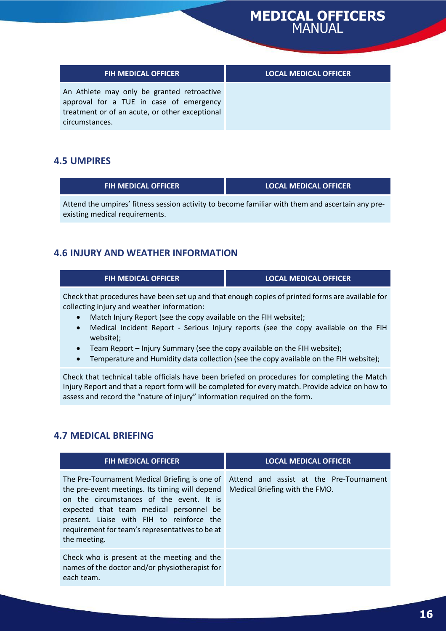| <b>FIH MEDICAL OFFICER</b>                                                                                                                                | <b>LOCAL MEDICAL OFFICER</b> |
|-----------------------------------------------------------------------------------------------------------------------------------------------------------|------------------------------|
| An Athlete may only be granted retroactive<br>approval for a TUE in case of emergency<br>treatment or of an acute, or other exceptional<br>circumstances. |                              |

#### <span id="page-15-0"></span>**4.5 UMPIRES**

| <b>FIH MEDICAL OFFICER</b>                                                                       | <b>LOCAL MEDICAL OFFICER</b> |
|--------------------------------------------------------------------------------------------------|------------------------------|
| Attend the umpires' fitness session activity to become familiar with them and ascertain any pre- |                              |
| existing medical requirements.                                                                   |                              |

#### <span id="page-15-1"></span>**4.6 INJURY AND WEATHER INFORMATION**

| FIH MEDICAL OFFICER                                                           | <b>LOCAL MEDICAL OFFICER</b>                                                                     |
|-------------------------------------------------------------------------------|--------------------------------------------------------------------------------------------------|
| collecting injury and weather information:                                    | Check that procedures have been set up and that enough copies of printed forms are available for |
| Match Injury Report (see the copy available on the FIH website);<br>$\bullet$ |                                                                                                  |

- Medical Incident Report Serious Injury reports (see the copy available on the FIH website);
- Team Report Injury Summary (see the copy available on the FIH website);
- Temperature and Humidity data collection (see the copy available on the FIH website);

Check that technical table officials have been briefed on procedures for completing the Match Injury Report and that a report form will be completed for every match. Provide advice on how to assess and record the "nature of injury" information required on the form.

#### <span id="page-15-2"></span>**4.7 MEDICAL BRIEFING**

| <b>FIH MEDICAL OFFICER</b>                                                                                                                                                                                                                                                                             | <b>LOCAL MEDICAL OFFICER</b>                                              |
|--------------------------------------------------------------------------------------------------------------------------------------------------------------------------------------------------------------------------------------------------------------------------------------------------------|---------------------------------------------------------------------------|
| The Pre-Tournament Medical Briefing is one of<br>the pre-event meetings. Its timing will depend<br>on the circumstances of the event. It is<br>expected that team medical personnel be<br>present. Liaise with FIH to reinforce the<br>requirement for team's representatives to be at<br>the meeting. | Attend and assist at the Pre-Tournament<br>Medical Briefing with the FMO. |
| Check who is present at the meeting and the<br>names of the doctor and/or physiotherapist for<br>each team.                                                                                                                                                                                            |                                                                           |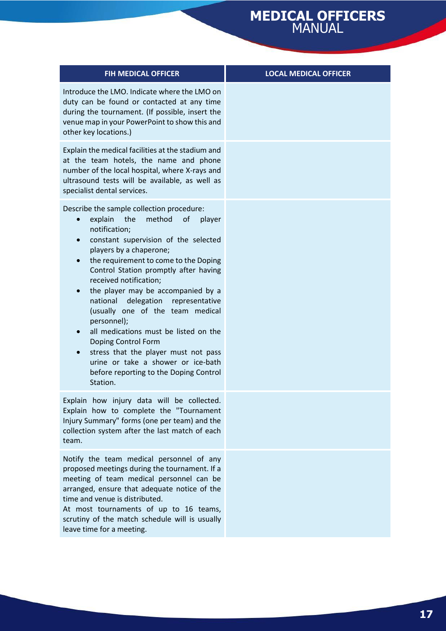| <b>FIH MEDICAL OFFICER</b>                                                                                                                                                                                                                                                                                                                                                                                                                                                                                                                                                                                                                                      | <b>LOCAL MEDICAL OFFICER</b> |
|-----------------------------------------------------------------------------------------------------------------------------------------------------------------------------------------------------------------------------------------------------------------------------------------------------------------------------------------------------------------------------------------------------------------------------------------------------------------------------------------------------------------------------------------------------------------------------------------------------------------------------------------------------------------|------------------------------|
| Introduce the LMO. Indicate where the LMO on<br>duty can be found or contacted at any time<br>during the tournament. (If possible, insert the<br>venue map in your PowerPoint to show this and<br>other key locations.)                                                                                                                                                                                                                                                                                                                                                                                                                                         |                              |
| Explain the medical facilities at the stadium and<br>at the team hotels, the name and phone<br>number of the local hospital, where X-rays and<br>ultrasound tests will be available, as well as<br>specialist dental services.                                                                                                                                                                                                                                                                                                                                                                                                                                  |                              |
| Describe the sample collection procedure:<br>explain the<br>method<br>of<br>player<br>notification;<br>constant supervision of the selected<br>$\bullet$<br>players by a chaperone;<br>the requirement to come to the Doping<br>$\bullet$<br>Control Station promptly after having<br>received notification;<br>the player may be accompanied by a<br>$\bullet$<br>national<br>delegation representative<br>(usually one of the team medical<br>personnel);<br>all medications must be listed on the<br>Doping Control Form<br>stress that the player must not pass<br>urine or take a shower or ice-bath<br>before reporting to the Doping Control<br>Station. |                              |
| Explain how injury data will be collected.<br>Explain how to complete the "Tournament<br>Injury Summary" forms (one per team) and the<br>collection system after the last match of each<br>team.                                                                                                                                                                                                                                                                                                                                                                                                                                                                |                              |
| Notify the team medical personnel of any<br>proposed meetings during the tournament. If a<br>meeting of team medical personnel can be<br>arranged, ensure that adequate notice of the<br>time and venue is distributed.<br>At most tournaments of up to 16 teams,<br>scrutiny of the match schedule will is usually<br>leave time for a meeting.                                                                                                                                                                                                                                                                                                                |                              |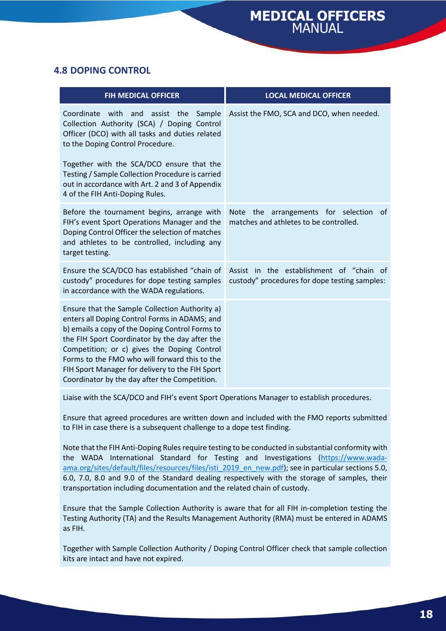#### <span id="page-17-0"></span>**4.8 DOPING CONTROL**

| <b>FIH MEDICAL OFFICER</b>                                                                                                                                                                                                                                                                                                                                                                               | <b>LOCAL MEDICAL OFFICER</b>                                                                     |
|----------------------------------------------------------------------------------------------------------------------------------------------------------------------------------------------------------------------------------------------------------------------------------------------------------------------------------------------------------------------------------------------------------|--------------------------------------------------------------------------------------------------|
| Coordinate<br>with and assist the<br>Sample<br>Collection Authority (SCA) / Doping Control<br>Officer (DCO) with all tasks and duties related<br>to the Doping Control Procedure.<br>Together with the SCA/DCO ensure that the<br>Testing / Sample Collection Procedure is carried<br>out in accordance with Art. 2 and 3 of Appendix<br>4 of the FIH Anti-Doping Rules.                                 | Assist the FMO, SCA and DCO, when needed.                                                        |
| Before the tournament begins, arrange with<br>FIH's event Sport Operations Manager and the<br>Doping Control Officer the selection of matches<br>and athletes to be controlled, including any<br>target testing.                                                                                                                                                                                         | <b>Note</b><br>the<br>arrangements for selection<br>0f<br>matches and athletes to be controlled. |
| Ensure the SCA/DCO has established "chain of<br>custody" procedures for dope testing samples<br>in accordance with the WADA regulations.                                                                                                                                                                                                                                                                 | Assist in the establishment of "chain of<br>custody" procedures for dope testing samples:        |
| Ensure that the Sample Collection Authority a)<br>enters all Doping Control Forms in ADAMS; and<br>b) emails a copy of the Doping Control Forms to<br>the FIH Sport Coordinator by the day after the<br>Competition; or c) gives the Doping Control<br>Forms to the FMO who will forward this to the<br>FIH Sport Manager for delivery to the FIH Sport<br>Coordinator by the day after the Competition. |                                                                                                  |

Liaise with the SCA/DCO and FIH's event Sport Operations Manager to establish procedures.

Ensure that agreed procedures are written down and included with the FMO reports submitted to FIH in case there is a subsequent challenge to a dope test finding.

Note that the FIH Anti-Doping Rules require testing to be conducted in substantial conformity with the WADA International Standard for Testing and Investigations [\(https://www.wada](https://www.wada-ama.org/sites/default/files/resources/files/isti_2019_en_new.pdf)[ama.org/sites/default/files/resources/files/isti\\_2019\\_en\\_new.pdf\)](https://www.wada-ama.org/sites/default/files/resources/files/isti_2019_en_new.pdf); see in particular sections 5.0, 6.0, 7.0, 8.0 and 9.0 of the Standard dealing respectively with the storage of samples, their transportation including documentation and the related chain of custody.

Ensure that the Sample Collection Authority is aware that for all FIH in-completion testing the Testing Authority (TA) and the Results Management Authority (RMA) must be entered in ADAMS as FIH.

Together with Sample Collection Authority / Doping Control Officer check that sample collection kits are intact and have not expired.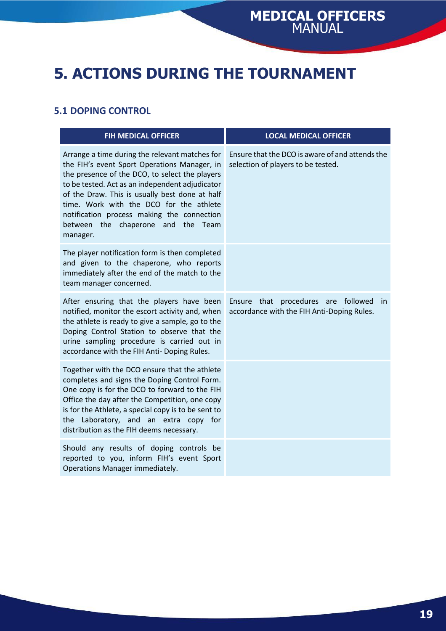## <span id="page-18-0"></span>**5. ACTIONS DURING THE TOURNAMENT**

#### <span id="page-18-1"></span>**5.1 DOPING CONTROL**

| <b>FIH MEDICAL OFFICER</b>                                                                                                                                                                                                                                                                                                                                                                       | <b>LOCAL MEDICAL OFFICER</b>                                                                   |
|--------------------------------------------------------------------------------------------------------------------------------------------------------------------------------------------------------------------------------------------------------------------------------------------------------------------------------------------------------------------------------------------------|------------------------------------------------------------------------------------------------|
| Arrange a time during the relevant matches for<br>the FIH's event Sport Operations Manager, in<br>the presence of the DCO, to select the players<br>to be tested. Act as an independent adjudicator<br>of the Draw. This is usually best done at half<br>time. Work with the DCO for the athlete<br>notification process making the connection<br>between the chaperone and the Team<br>manager. | Ensure that the DCO is aware of and attends the<br>selection of players to be tested.          |
| The player notification form is then completed<br>and given to the chaperone, who reports<br>immediately after the end of the match to the<br>team manager concerned.                                                                                                                                                                                                                            |                                                                                                |
| After ensuring that the players have been<br>notified, monitor the escort activity and, when<br>the athlete is ready to give a sample, go to the<br>Doping Control Station to observe that the<br>urine sampling procedure is carried out in<br>accordance with the FIH Anti- Doping Rules.                                                                                                      | Ensure that procedures are followed<br><i>in</i><br>accordance with the FIH Anti-Doping Rules. |
| Together with the DCO ensure that the athlete<br>completes and signs the Doping Control Form.<br>One copy is for the DCO to forward to the FIH<br>Office the day after the Competition, one copy<br>is for the Athlete, a special copy is to be sent to<br>the Laboratory, and an extra copy for<br>distribution as the FIH deems necessary.                                                     |                                                                                                |
| Should any results of doping controls be<br>reported to you, inform FIH's event Sport<br>Operations Manager immediately.                                                                                                                                                                                                                                                                         |                                                                                                |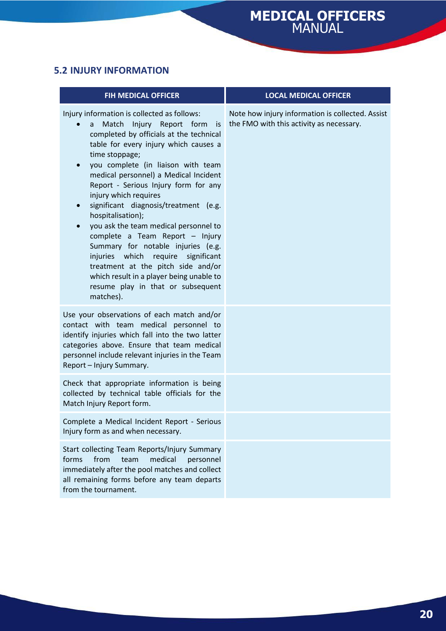#### <span id="page-19-0"></span>**5.2 INJURY INFORMATION**

| <b>FIH MEDICAL OFFICER</b>                                                                                                                                                                                                                                                                                                                                                                                                                                                                                                                                                                                                                                                                            | <b>LOCAL MEDICAL OFFICER</b>                                                                 |
|-------------------------------------------------------------------------------------------------------------------------------------------------------------------------------------------------------------------------------------------------------------------------------------------------------------------------------------------------------------------------------------------------------------------------------------------------------------------------------------------------------------------------------------------------------------------------------------------------------------------------------------------------------------------------------------------------------|----------------------------------------------------------------------------------------------|
| Injury information is collected as follows:<br>Injury Report form<br>Match<br>is<br>a<br>completed by officials at the technical<br>table for every injury which causes a<br>time stoppage;<br>you complete (in liaison with team<br>medical personnel) a Medical Incident<br>Report - Serious Injury form for any<br>injury which requires<br>significant diagnosis/treatment (e.g.<br>hospitalisation);<br>you ask the team medical personnel to<br>complete a Team Report - Injury<br>Summary for notable injuries (e.g.<br>injuries which require significant<br>treatment at the pitch side and/or<br>which result in a player being unable to<br>resume play in that or subsequent<br>matches). | Note how injury information is collected. Assist<br>the FMO with this activity as necessary. |
| Use your observations of each match and/or<br>contact with team medical personnel to<br>identify injuries which fall into the two latter<br>categories above. Ensure that team medical<br>personnel include relevant injuries in the Team<br>Report - Injury Summary.                                                                                                                                                                                                                                                                                                                                                                                                                                 |                                                                                              |
| Check that appropriate information is being<br>collected by technical table officials for the<br>Match Injury Report form.                                                                                                                                                                                                                                                                                                                                                                                                                                                                                                                                                                            |                                                                                              |
| Complete a Medical Incident Report - Serious<br>Injury form as and when necessary.                                                                                                                                                                                                                                                                                                                                                                                                                                                                                                                                                                                                                    |                                                                                              |
| Start collecting Team Reports/Injury Summary<br>from<br>forms<br>team<br>medical<br>personnel<br>immediately after the pool matches and collect<br>all remaining forms before any team departs<br>from the tournament.                                                                                                                                                                                                                                                                                                                                                                                                                                                                                |                                                                                              |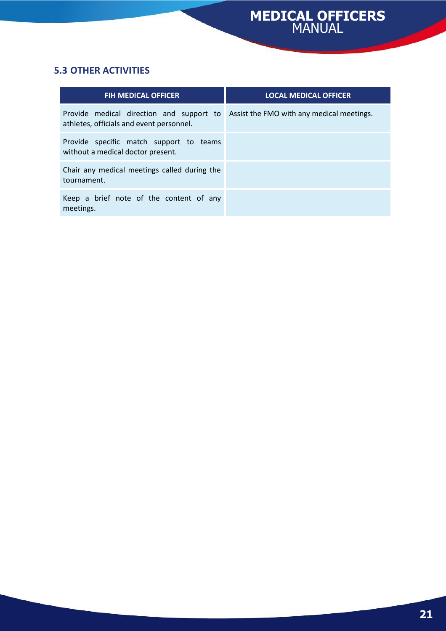### <span id="page-20-0"></span>**5.3 OTHER ACTIVITIES**

| <b>FIH MEDICAL OFFICER</b>                                                           | <b>LOCAL MEDICAL OFFICER</b>              |
|--------------------------------------------------------------------------------------|-------------------------------------------|
| Provide medical direction and support to<br>athletes, officials and event personnel. | Assist the FMO with any medical meetings. |
| Provide specific match support to teams<br>without a medical doctor present.         |                                           |
| Chair any medical meetings called during the<br>tournament.                          |                                           |
| Keep a brief note of the content of any<br>meetings.                                 |                                           |